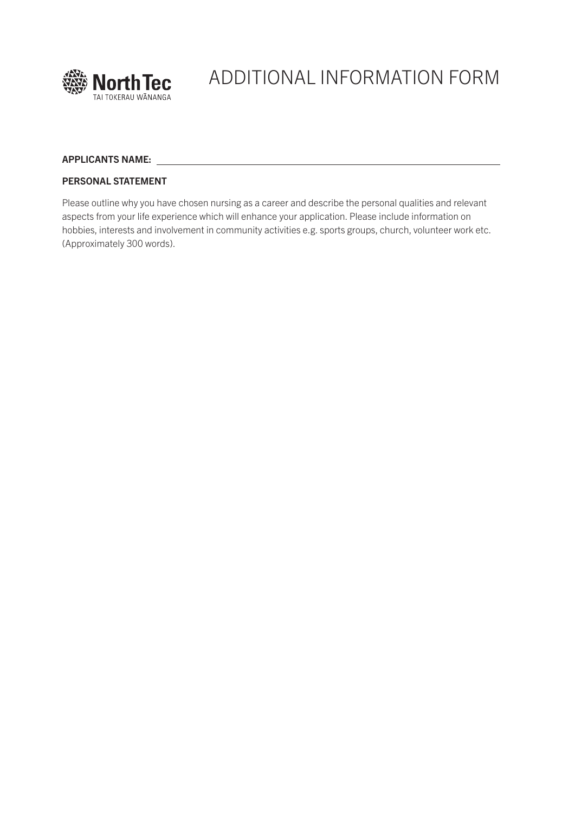

# APPLICANTS NAME:

# PERSONAL STATEMENT

Please outline why you have chosen nursing as a career and describe the personal qualities and relevant aspects from your life experience which will enhance your application. Please include information on hobbies, interests and involvement in community activities e.g. sports groups, church, volunteer work etc. (Approximately 300 words).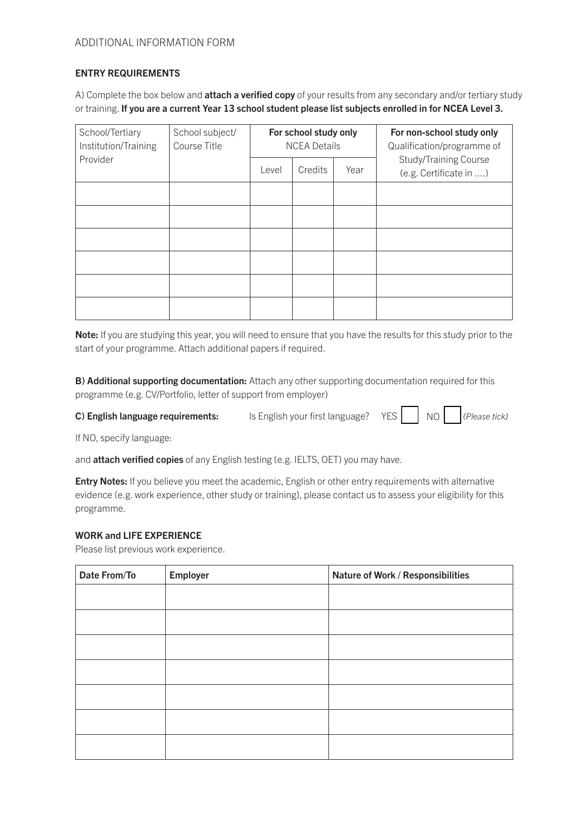# ENTRY REQUIREMENTS

A) Complete the box below and **attach a verified copy** of your results from any secondary and/or tertiary study or training. If you are a current Year 13 school student please list subjects enrolled in for NCEA Level 3.

| School/Tertiary<br>Institution/Training | School subject/<br>Course Title | For school study only<br><b>NCEA Details</b> |         |      | For non-school study only<br>Qualification/programme of |
|-----------------------------------------|---------------------------------|----------------------------------------------|---------|------|---------------------------------------------------------|
| Provider                                |                                 | Level                                        | Credits | Year | <b>Study/Training Course</b><br>(e.g. Certificate in )  |
|                                         |                                 |                                              |         |      |                                                         |
|                                         |                                 |                                              |         |      |                                                         |
|                                         |                                 |                                              |         |      |                                                         |
|                                         |                                 |                                              |         |      |                                                         |
|                                         |                                 |                                              |         |      |                                                         |
|                                         |                                 |                                              |         |      |                                                         |

Note: If you are studying this year, you will need to ensure that you have the results for this study prior to the start of your programme. Attach additional papers if required.

B) Additional supporting documentation: Attach any other supporting documentation required for this programme (e.g. CV/Portfolio, letter of support from employer)

C) **English language requirements:** Is English your first language? YES NO **NO** *(Please tick)* 

If NO, specify language:

and **attach verified copies** of any English testing (e.g. IELTS, OET) you may have.

**Entry Notes:** If you believe you meet the academic, English or other entry requirements with alternative evidence (e.g. work experience, other study or training), please contact us to assess your eligibility for this programme.

# WORK and LIFE EXPERIENCE

Please list previous work experience.

| Date From/To | Employer | Nature of Work / Responsibilities |
|--------------|----------|-----------------------------------|
|              |          |                                   |
|              |          |                                   |
|              |          |                                   |
|              |          |                                   |
|              |          |                                   |
|              |          |                                   |
|              |          |                                   |
|              |          |                                   |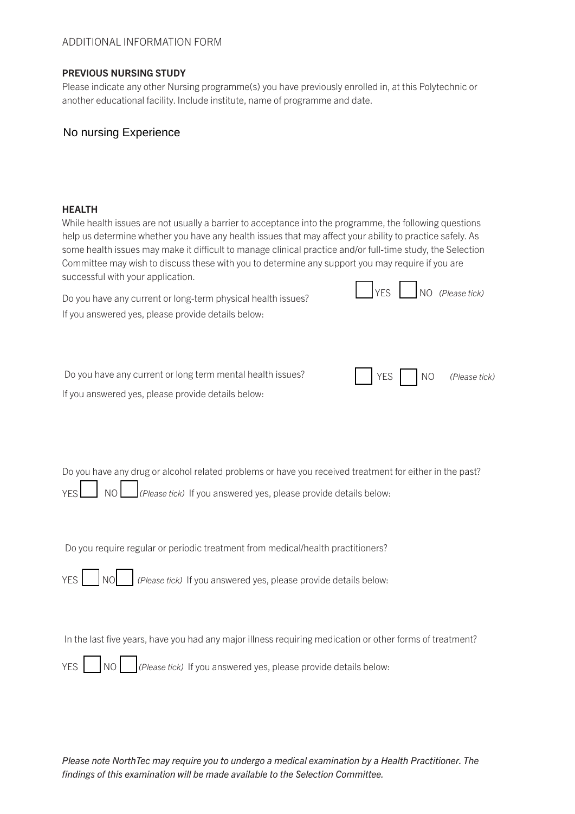### PREVIOUS NURSING STUDY

Please indicate any other Nursing programme(s) you have previously enrolled in, at this Polytechnic or another educational facility. Include institute, name of programme and date.

# No nursing Experience

#### HEALTH

While health issues are not usually a barrier to acceptance into the programme, the following questions help us determine whether you have any health issues that may affect your ability to practice safely. As some health issues may make it difficult to manage clinical practice and/or full-time study, the Selection Committee may wish to discuss these with you to determine any support you may require if you are successful with your application.

Do you have any current or long-term physical health issues?<br>NO *(Please tick)* If you answered yes, please provide details below:

Do you have any current or long term mental health issues? YES NO *(Please tick)* If you answered yes, please provide details below:





Do you have any drug or alcohol related problems or have you received treatment for either in the past? YES NO **NO** *(Please tick)* If you answered yes, please provide details below:

Do you require regular or periodic treatment from medical/health practitioners?



In the last five years, have you had any major illness requiring medication or other forms of treatment?

|  |  |  |  |  | $YES$ $\Box$ NO $\Box$ (Please tick) If you answered yes, please provide details below: |
|--|--|--|--|--|-----------------------------------------------------------------------------------------|
|--|--|--|--|--|-----------------------------------------------------------------------------------------|

*Please note NorthTec may require you to undergo a medical examination by a Health Practitioner. The findings of this examination will be made available to the Selection Committee.*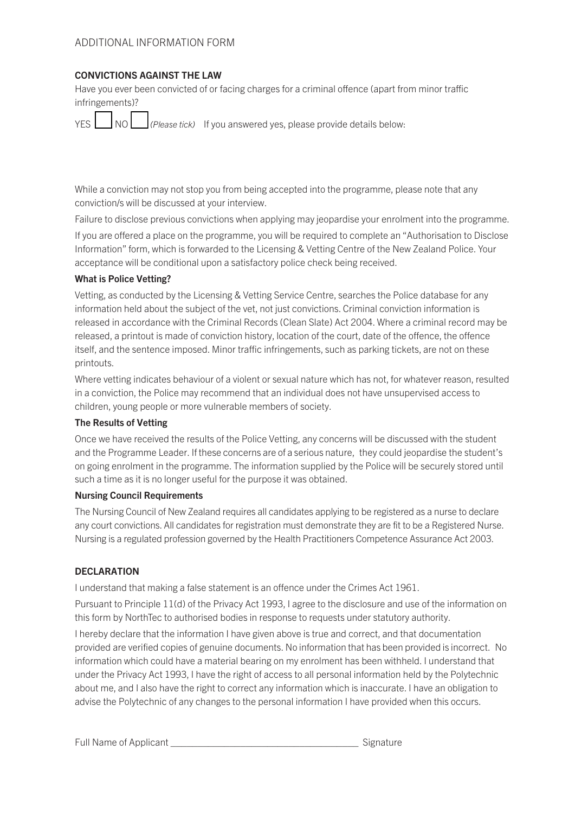## CONVICTIONS AGAINST THE LAW

Have you ever been convicted of or facing charges for a criminal offence (apart from minor traffic infringements)?

|  |  | YES NO <i>(Please tick)</i> If you answered yes, please provide details below: |
|--|--|--------------------------------------------------------------------------------|
|  |  |                                                                                |

While a conviction may not stop you from being accepted into the programme, please note that any conviction/s will be discussed at your interview.

Failure to disclose previous convictions when applying may jeopardise your enrolment into the programme.

If you are offered a place on the programme, you will be required to complete an "Authorisation to Disclose Information" form, which is forwarded to the Licensing & Vetting Centre of the New Zealand Police. Your acceptance will be conditional upon a satisfactory police check being received.

## What is Police Vetting?

Vetting, as conducted by the Licensing & Vetting Service Centre, searches the Police database for any information held about the subject of the vet, not just convictions. Criminal conviction information is released in accordance with the Criminal Records (Clean Slate) Act 2004. Where a criminal record may be released, a printout is made of conviction history, location of the court, date of the offence, the offence itself, and the sentence imposed. Minor traffic infringements, such as parking tickets, are not on these printouts.

Where vetting indicates behaviour of a violent or sexual nature which has not, for whatever reason, resulted in a conviction, the Police may recommend that an individual does not have unsupervised access to children, young people or more vulnerable members of society.

## The Results of Vetting

Once we have received the results of the Police Vetting, any concerns will be discussed with the student and the Programme Leader. If these concerns are of a serious nature, they could jeopardise the student's on going enrolment in the programme. The information supplied by the Police will be securely stored until such a time as it is no longer useful for the purpose it was obtained.

## Nursing Council Requirements

The Nursing Council of New Zealand requires all candidates applying to be registered as a nurse to declare any court convictions. All candidates for registration must demonstrate they are fit to be a Registered Nurse. Nursing is a regulated profession governed by the Health Practitioners Competence Assurance Act 2003.

## **DECLARATION**

I understand that making a false statement is an offence under the Crimes Act 1961.

Pursuant to Principle 11(d) of the Privacy Act 1993, I agree to the disclosure and use of the information on this form by NorthTec to authorised bodies in response to requests under statutory authority.

I hereby declare that the information I have given above is true and correct, and that documentation provided are verified copies of genuine documents. No information that has been provided is incorrect. No information which could have a material bearing on my enrolment has been withheld. I understand that under the Privacy Act 1993, I have the right of access to all personal information held by the Polytechnic about me, and I also have the right to correct any information which is inaccurate. I have an obligation to advise the Polytechnic of any changes to the personal information I have provided when this occurs.

Full Name of Applicant \_\_\_\_\_\_\_\_\_\_\_\_\_\_\_\_\_\_\_\_\_\_\_\_\_\_\_\_\_\_\_\_\_\_\_ Signature